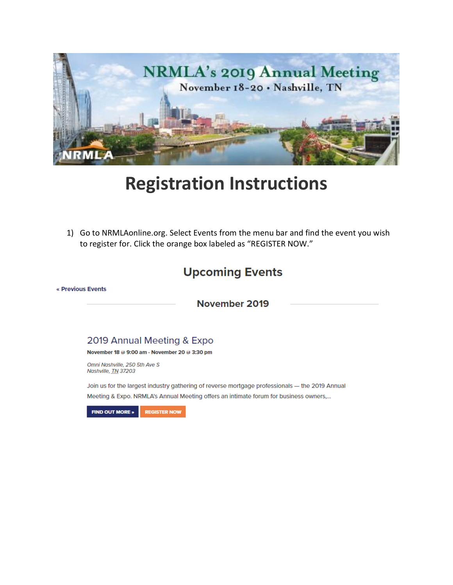

# **Registration Instructions**

1) Go to NRMLAonline.org. Select Events from the menu bar and find the event you wish to register for. Click the orange box labeled as "REGISTER NOW."

## **Upcoming Events**

« Previous Events

November 2019

#### 2019 Annual Meeting & Expo

November 18 @ 9:00 am - November 20 @ 3:30 pm

Omni Nashville, 250 5th Ave S Nashville, TN 37203

Join us for the largest industry gathering of reverse mortgage professionals - the 2019 Annual Meeting & Expo. NRMLA's Annual Meeting offers an intimate forum for business owners,...

**FIND OUT MORE » REGISTER NOW**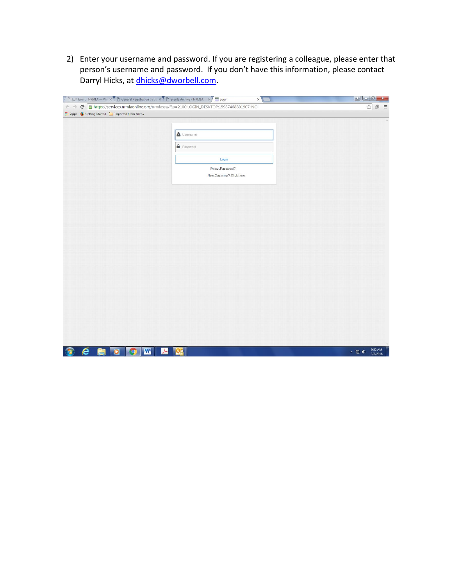2) Enter your username and password. If you are registering a colleague, please enter that person's username and password. If you don't have this information, please contact Darryl Hicks, at [dhicks@dworbell.com.](mailto:dhicks@dworbell.com)

|                                                  | Edit Event < NRMLA - Wo x   B General Registration Instant X   B Events Archive - NRMLA X   Login<br>$\times$ |      |
|--------------------------------------------------|---------------------------------------------------------------------------------------------------------------|------|
|                                                  | ← → C Ahttps://services.nrmlaonline.org/nrmlassa/f?p=2100:LOGIN_DESKTOP:15987468801907::NO                    | ☆● ≡ |
| [1] Apps @ Getting Started @ Imported From Firef |                                                                                                               |      |
|                                                  |                                                                                                               |      |
|                                                  | Username                                                                                                      |      |
|                                                  | <b>A</b> Password                                                                                             |      |
|                                                  | Login                                                                                                         |      |
|                                                  | Forgot Password?                                                                                              |      |
|                                                  | New Customer? Click here                                                                                      |      |
|                                                  |                                                                                                               |      |
|                                                  |                                                                                                               |      |
|                                                  |                                                                                                               |      |
|                                                  |                                                                                                               |      |
|                                                  |                                                                                                               |      |
|                                                  |                                                                                                               |      |
|                                                  |                                                                                                               |      |
|                                                  |                                                                                                               |      |
|                                                  |                                                                                                               |      |
|                                                  |                                                                                                               |      |
|                                                  |                                                                                                               |      |
|                                                  |                                                                                                               |      |
|                                                  |                                                                                                               |      |
|                                                  |                                                                                                               |      |
|                                                  |                                                                                                               |      |
|                                                  |                                                                                                               |      |
|                                                  |                                                                                                               |      |
|                                                  |                                                                                                               |      |
|                                                  |                                                                                                               |      |
|                                                  |                                                                                                               |      |
|                                                  |                                                                                                               |      |
|                                                  |                                                                                                               |      |
|                                                  |                                                                                                               |      |
|                                                  |                                                                                                               |      |
|                                                  |                                                                                                               |      |
|                                                  |                                                                                                               |      |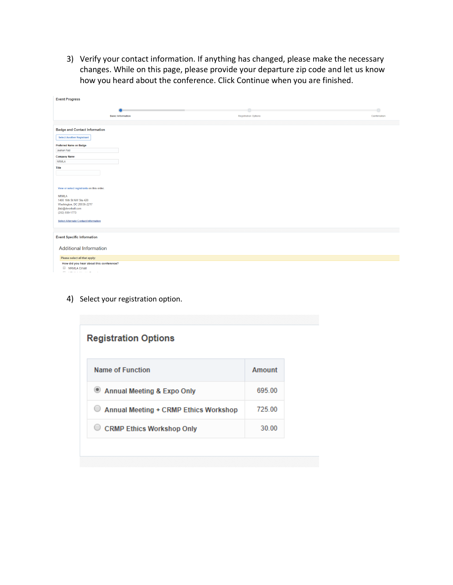3) Verify your contact information. If anything has changed, please make the necessary changes. While on this page, please provide your departure zip code and let us know how you heard about the conference. Click Continue when you are finished.

| <b>Event Progress</b>                                                 |                             |              |
|-----------------------------------------------------------------------|-----------------------------|--------------|
|                                                                       |                             | $\circ$      |
| <b>Basic Information</b>                                              | <b>Registration Options</b> | Confirmation |
|                                                                       |                             |              |
| <b>Badge and Contact Information</b>                                  |                             |              |
| <b>Select Another Registrant</b>                                      |                             |              |
| Preferred Name on Badge                                               |                             |              |
| Jeehan Faiz                                                           |                             |              |
| <b>Company Name</b>                                                   |                             |              |
| <b>NRMLA</b>                                                          |                             |              |
| Title                                                                 |                             |              |
|                                                                       |                             |              |
|                                                                       |                             |              |
| View or select registrants on this order.                             |                             |              |
| <b>NRMLA</b><br>1400 16th St NW Ste 420                               |                             |              |
| Washington, DC 20036-2217                                             |                             |              |
| jfaiz@dworbell.com<br>(202) 939-1773                                  |                             |              |
|                                                                       |                             |              |
| <b>Select Alternate Contact Information</b>                           |                             |              |
|                                                                       |                             |              |
| <b>Event Specific Information</b>                                     |                             |              |
|                                                                       |                             |              |
| <b>Additional Information</b>                                         |                             |              |
| Please select all that apply:                                         |                             |              |
| How did you hear about this conference?                               |                             |              |
| <b>NRMLA Email</b><br>management of the control of<br><b>Contract</b> |                             |              |

4) Select your registration option.

| <b>Registration Options</b>           |        |  |
|---------------------------------------|--------|--|
| Name of Function                      | Amount |  |
| Annual Meeting & Expo Only            | 695.00 |  |
| Annual Meeting + CRMP Ethics Workshop | 725.00 |  |
| <b>CRMP Ethics Workshop Only</b>      | 30.00  |  |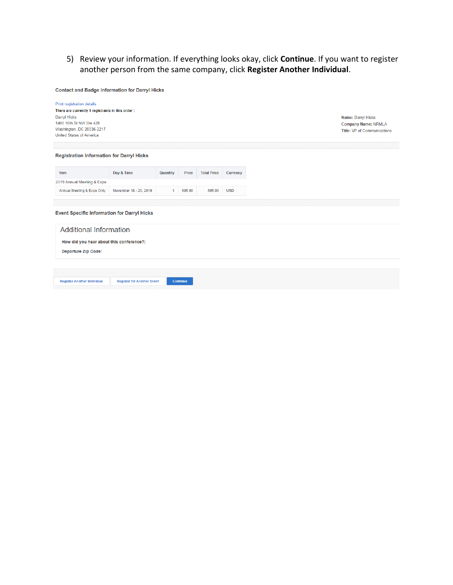5) Review your information. If everything looks okay, click **Continue**. If you want to register another person from the same company, click **Register Another Individual**.

**Contact and Badge Information for Darryl Hicks** 

| Print registration details<br>There are currently 1 registrants in this order:<br>Darryl Hicks<br>1400 16th St NW Ste 420<br>Washington, DC 20036-2217<br><b>United States of America</b> |                                   |          |              |                    |            | Name: Darryl Hicks<br><b>Company Name: NRMLA</b><br><b>Title: VP of Communications</b> |
|-------------------------------------------------------------------------------------------------------------------------------------------------------------------------------------------|-----------------------------------|----------|--------------|--------------------|------------|----------------------------------------------------------------------------------------|
|                                                                                                                                                                                           |                                   |          |              |                    |            |                                                                                        |
| <b>Registration Information for Darryl Hicks</b>                                                                                                                                          |                                   |          |              |                    |            |                                                                                        |
|                                                                                                                                                                                           |                                   |          |              |                    |            |                                                                                        |
| Item                                                                                                                                                                                      | Day & Time                        | Quantity | <b>Price</b> | <b>Total Price</b> | Currency   |                                                                                        |
| 2019 Annual Meeting & Expo                                                                                                                                                                |                                   |          |              |                    |            |                                                                                        |
| Annual Meeting & Expo Only                                                                                                                                                                | November 18 - 20, 2019            |          | 695.00       | 695.00             | <b>USD</b> |                                                                                        |
|                                                                                                                                                                                           |                                   |          |              |                    |            |                                                                                        |
| <b>Event Specific Information for Darryl Hicks</b>                                                                                                                                        |                                   |          |              |                    |            |                                                                                        |
| <b>Additional Information</b>                                                                                                                                                             |                                   |          |              |                    |            |                                                                                        |
| How did you hear about this conference?:                                                                                                                                                  |                                   |          |              |                    |            |                                                                                        |
| <b>Departure Zip Code:</b>                                                                                                                                                                |                                   |          |              |                    |            |                                                                                        |
|                                                                                                                                                                                           |                                   |          |              |                    |            |                                                                                        |
|                                                                                                                                                                                           |                                   |          |              |                    |            |                                                                                        |
| <b>Register Another Individual</b>                                                                                                                                                        | <b>Register for Another Event</b> |          | Continue     |                    |            |                                                                                        |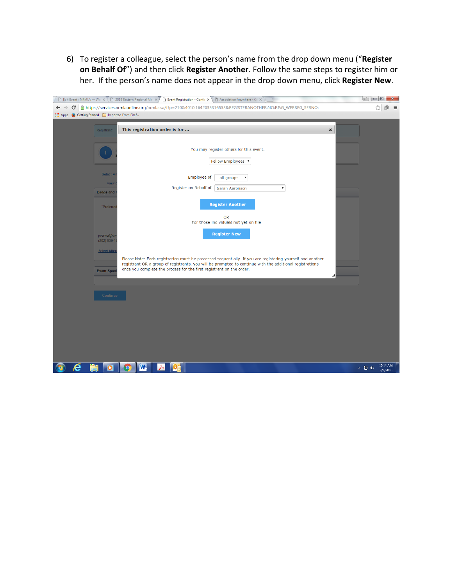6) To register a colleague, select the person's name from the drop down menu ("**Register on Behalf Of**") and then click **Register Another**. Follow the same steps to register him or her. If the person's name does not appear in the drop down menu, click **Register New**.

| But Event < NRMLA - Wo X < 2016 Eastern Regional Mex > A Bent Registration - Confir X < B Association Anywhere - Cu X                                                                                                                                                                                                                       |                                 |
|---------------------------------------------------------------------------------------------------------------------------------------------------------------------------------------------------------------------------------------------------------------------------------------------------------------------------------------------|---------------------------------|
| A https://services.nrmlaonline.org/nrmlassa/f?p=2100:4010:16420353165538:REGISTERANOTHER:NO:RP:G_WEBREG_SERNO:<br>c<br>$\leftarrow$ $\rightarrow$                                                                                                                                                                                           | ☆                               |
| :.: Apps (b) Getting Started [comported From Firef                                                                                                                                                                                                                                                                                          |                                 |
| This registration order is for<br>Registrant                                                                                                                                                                                                                                                                                                | $\pmb{\times}$                  |
| You may register others for this event.<br>Fellow Employees v                                                                                                                                                                                                                                                                               |                                 |
| Select A<br>Employee of<br>- all groups - $\tau$<br>View<br>Register on Behalf of<br>Sarah Aaronson<br>$\pmb{\mathrm{v}}$<br><b>Badge and 0</b>                                                                                                                                                                                             |                                 |
| <b>Register Another</b><br>*Preferred                                                                                                                                                                                                                                                                                                       |                                 |
| OR<br>For those individuals not yet on file<br><b>Register New</b><br>jwerwa@dv<br>$(202)$ 939-1                                                                                                                                                                                                                                            |                                 |
| <b>Select Alter</b><br>Please Note: Each registration must be processed sequentially. If you are registering yourself and another<br>registrant OR a group of registrants, you will be prompted to continue with the additional registrations<br>once you complete the process for the first registrant on the order.<br><b>Event Speci</b> | /ı,                             |
| Continue                                                                                                                                                                                                                                                                                                                                    |                                 |
|                                                                                                                                                                                                                                                                                                                                             |                                 |
|                                                                                                                                                                                                                                                                                                                                             |                                 |
|                                                                                                                                                                                                                                                                                                                                             |                                 |
| $\mathbf{w}$<br>e<br>┻<br>$\bullet$<br>$\mathbf{O}$                                                                                                                                                                                                                                                                                         | 10:14 AM<br>▲ 誾 (1)<br>3/8/2016 |